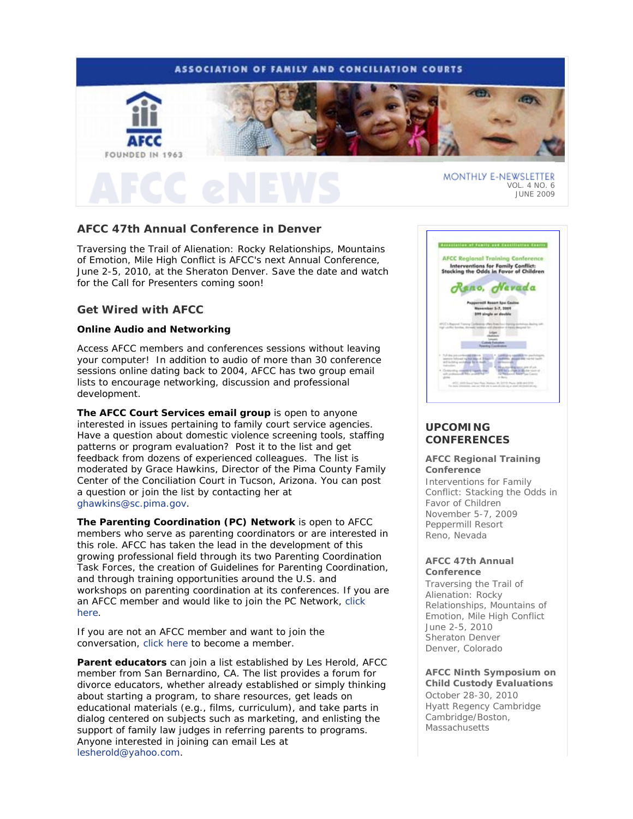# **ASSOCIATION OF FAMILY AND CONCILIATION COURTS**



# **AFCC 47th Annual Conference in Denver**

*Traversing the Trail of Alienation: Rocky Relationships, Mountains of Emotion, Mile High Conflict* is AFCC's next Annual Conference, June 2-5, 2010, at the Sheraton Denver. Save the date and watch for the Call for Presenters coming soon!

## **Get Wired with AFCC**

### **Online Audio and Networking**

Access AFCC members and conferences sessions without leaving your computer! In addition to audio of more than 30 conference sessions online dating back to 2004, AFCC has two group email lists to encourage networking, discussion and professional development.

**The AFCC Court Services email group** is open to anyone interested in issues pertaining to family court service agencies. Have a question about domestic violence screening tools, staffing patterns or program evaluation? Post it to the list and get feedback from dozens of experienced colleagues. The list is moderated by Grace Hawkins, Director of the Pima County Family Center of the Conciliation Court in Tucson, Arizona. You can post a question or join the list by contacting her at ghawkins@sc.pima.gov.

**The Parenting Coordination (PC) Network** is open to AFCC members who serve as parenting coordinators or are interested in this role. AFCC has taken the lead in the development of this growing professional field through its two Parenting Coordination Task Forces, the creation of *Guidelines for Parenting Coordination,* and through training opportunities around the U.S. and workshops on parenting coordination at its conferences. If you are an AFCC member and would like to join the PC Network, click here.

If you are not an AFCC member and want to join the conversation, click here to become a member.

**Parent educators** can join a list established by Les Herold, AFCC member from San Bernardino, CA. The list provides a forum for divorce educators, whether already established or simply thinking about starting a program, to share resources, get leads on educational materials (e.g., films, curriculum), and take parts in dialog centered on subjects such as marketing, and enlisting the support of family law judges in referring parents to programs. Anyone interested in joining can email Les at lesherold@yahoo.com.



# **UPCOMING CONFERENCES**

#### **AFCC Regional Training Conference**

*Interventions for Family Conflict: Stacking the Odds in Favor of Children*  November 5-7, 2009 Peppermill Resort Reno, Nevada

### **AFCC 47th Annual Conference**

*Traversing the Trail of Alienation: Rocky Relationships, Mountains of Emotion, Mile High Conflict* June 2-5, 2010 Sheraton Denver Denver, Colorado

### **AFCC Ninth Symposium on Child Custody Evaluations**

October 28-30, 2010 Hyatt Regency Cambridge Cambridge/Boston, **Massachusetts**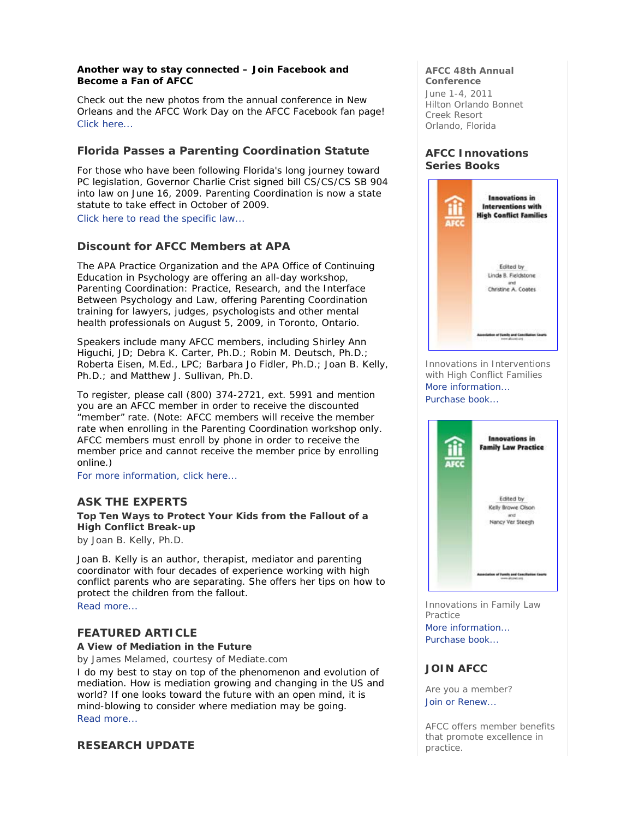### **Another way to stay connected – Join Facebook and Become a Fan of AFCC**

Check out the new photos from the annual conference in New Orleans and the AFCC Work Day on the AFCC Facebook fan page! Click here...

# **Florida Passes a Parenting Coordination Statute**

For those who have been following Florida's long journey toward PC legislation, Governor Charlie Crist signed bill CS/CS/CS SB 904 into law on June 16, 2009. Parenting Coordination is now a state statute to take effect in October of 2009.

Click here to read the specific law...

# **Discount for AFCC Members at APA**

The APA Practice Organization and the APA Office of Continuing Education in Psychology are offering an all-day workshop, *Parenting Coordination: Practice, Research, and the Interface Between Psychology and Law*, offering Parenting Coordination training for lawyers, judges, psychologists and other mental health professionals on August 5, 2009, in Toronto, Ontario.

Speakers include many AFCC members, including Shirley Ann Higuchi, JD; Debra K. Carter, Ph.D.; Robin M. Deutsch, Ph.D.; Roberta Eisen, M.Ed., LPC; Barbara Jo Fidler, Ph.D.; Joan B. Kelly, Ph.D.; and Matthew J. Sullivan, Ph.D.

To register, please call (800) 374-2721, ext. 5991 and mention you are an AFCC member in order to receive the discounted "member" rate. (Note: AFCC members will receive the member rate when enrolling in the Parenting Coordination workshop only. AFCC members must enroll by phone in order to receive the member price and cannot receive the member price by enrolling online.)

For more information, click here...

# **ASK THE EXPERTS**

**Top Ten Ways to Protect Your Kids from the Fallout of a High Conflict Break-up** 

*by Joan B. Kelly, Ph.D.* 

Joan B. Kelly is an author, therapist, mediator and parenting coordinator with four decades of experience working with high conflict parents who are separating. She offers her tips on how to protect the children from the fallout.

Read more...

# **FEATURED ARTICLE**

**A View of Mediation in the Future** 

*by James Melamed, courtesy of Mediate.com* 

I do my best to stay on top of the phenomenon and evolution of mediation. How is mediation growing and changing in the US and world? If one looks toward the future with an open mind, it is mind-blowing to consider where mediation may be going. Read more...

## **RESEARCH UPDATE**

### **AFCC 48th Annual Conference**

June 1-4, 2011 Hilton Orlando Bonnet Creek Resort Orlando, Florida

# **AFCC Innovations Series Books**



Innovations in Interventions with High Conflict Families More information... Purchase book...



Innovations in Family Law Practice More information... Purchase book...

# **JOIN AFCC**

Are you a member? Join or Renew...

AFCC offers member benefits that promote excellence in practice.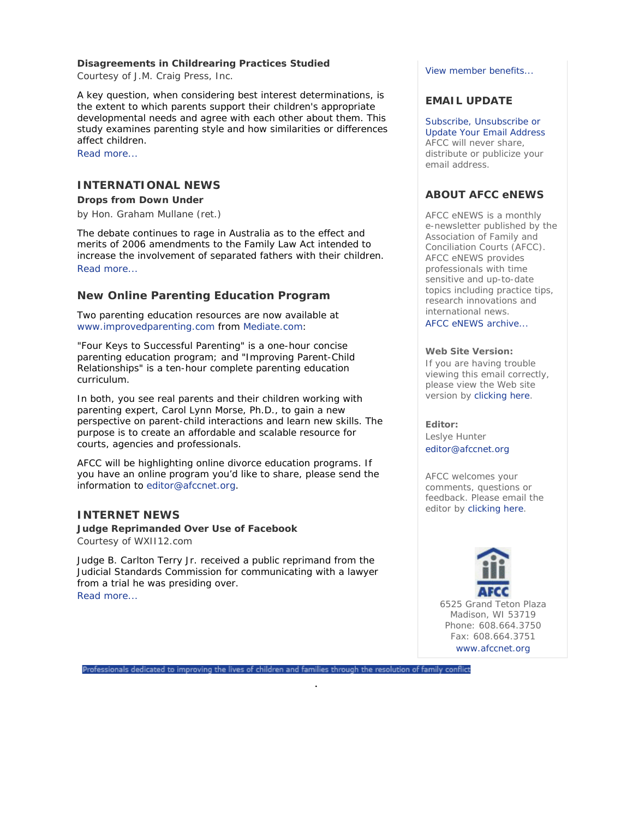## **Disagreements in Childrearing Practices Studied**

*Courtesy of J.M. Craig Press, Inc.* 

A key question, when considering best interest determinations, is the extent to which parents support their children's appropriate developmental needs and agree with each other about them. This study examines parenting style and how similarities or differences affect children.

Read more...

# **INTERNATIONAL NEWS**

**Drops from Down Under**  *by Hon. Graham Mullane (ret.)* 

The debate continues to rage in Australia as to the effect and merits of 2006 amendments to the Family Law Act intended to increase the involvement of separated fathers with their children. Read more...

# **New Online Parenting Education Program**

Two parenting education resources are now available at www.improvedparenting.com from Mediate.com:

"Four Keys to Successful Parenting" is a one-hour concise parenting education program; and "Improving Parent-Child Relationships" is a ten-hour complete parenting education curriculum.

In both, you see real parents and their children working with parenting expert, Carol Lynn Morse, Ph.D., to gain a new perspective on parent-child interactions and learn new skills. The purpose is to create an affordable and scalable resource for courts, agencies and professionals.

AFCC will be highlighting online divorce education programs. If you have an online program you'd like to share, please send the information to editor@afccnet.org.

# **INTERNET NEWS**

**Judge Reprimanded Over Use of Facebook**  *Courtesy of WXII12.com* 

Judge B. Carlton Terry Jr. received a public reprimand from the Judicial Standards Commission for communicating with a lawyer from a trial he was presiding over. Read more...

View member benefits...

# **EMAIL UPDATE**

Subscribe, Unsubscribe or Update Your Email Address AFCC will never share, distribute or publicize your email address.

# **ABOUT AFCC eNEWS**

*AFCC eNEWS* is a monthly e-newsletter published by the Association of Family and Conciliation Courts (AFCC). *AFCC eNEWS* provides professionals with time sensitive and up-to-date topics including practice tips, research innovations and international news.

AFCC eNEWS archive...

### **Web Site Version:**

If you are having trouble viewing this email correctly, please view the Web site version by clicking here.

### **Editor:**

Leslye Hunter editor@afccnet.org

AFCC welcomes your comments, questions or feedback. Please email the editor by clicking here.



6525 Grand Teton Plaza Madison, WI 53719 Phone: 608.664.3750 Fax: 608.664.3751 www.afccnet.org

Professionals dedicated to improving the lives of children and families through the resolution of family conflict

.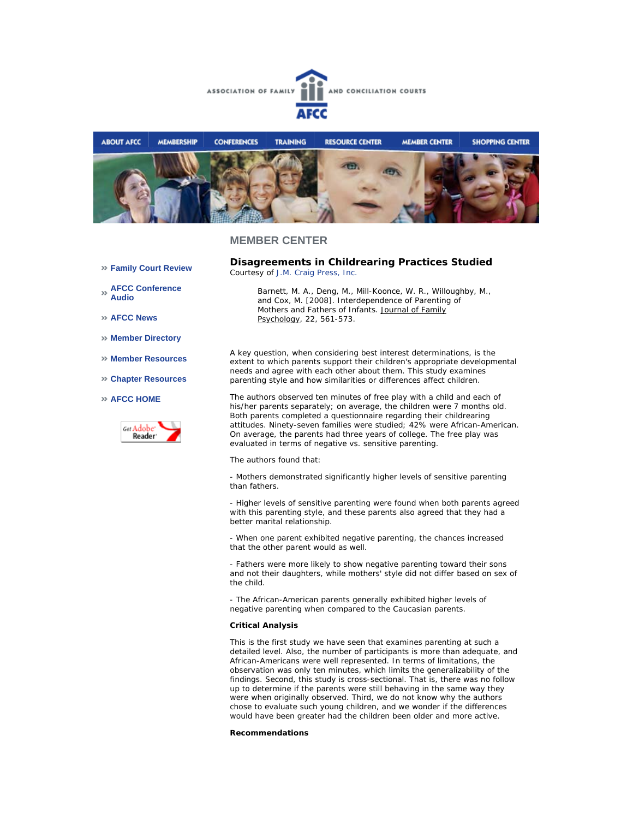



### **MEMBER CENTER**

**Family Court Review** 

**AFCC Conference Audio** 

**AFCC News** 

- **Member Directory**
- **Member Resources**
- **Chapter Resources**

### **AFCC HOME**



**Disagreements in Childrearing Practices Studied**  *Courtesy of J.M. Craig Press, Inc.*

*Barnett, M. A., Deng, M., Mill-Koonce, W. R., Willoughby, M., and Cox, M. [2008]. Interdependence of Parenting of Mothers and Fathers of Infants. Journal of Family Psychology, 22, 561-573.*

A key question, when considering best interest determinations, is the extent to which parents support their children's appropriate developmental needs and agree with each other about them. This study examines parenting style and how similarities or differences affect children.

The authors observed ten minutes of free play with a child and each of his/her parents separately; on average, the children were 7 months old. Both parents completed a questionnaire regarding their childrearing attitudes. Ninety-seven families were studied; 42% were African-American. On average, the parents had three years of college. The free play was evaluated in terms of negative vs. sensitive parenting.

The authors found that:

- Mothers demonstrated significantly higher levels of sensitive parenting than fathers.

- Higher levels of sensitive parenting were found when both parents agreed with this parenting style, and these parents also agreed that they had a better marital relationship.

- When one parent exhibited negative parenting, the chances increased that the other parent would as well.

- Fathers were more likely to show negative parenting toward their sons and not their daughters, while mothers' style did not differ based on sex of the child.

- The African-American parents generally exhibited higher levels of negative parenting when compared to the Caucasian parents.

#### **Critical Analysis**

This is the first study we have seen that examines parenting at such a detailed level. Also, the number of participants is more than adequate, and African-Americans were well represented. In terms of limitations, the observation was only ten minutes, which limits the generalizability of the findings. Second, this study is cross-sectional. That is, there was no follow up to determine if the parents were still behaving in the same way they were when originally observed. Third, we do not know why the authors chose to evaluate such young children, and we wonder if the differences would have been greater had the children been older and more active.

#### **Recommendations**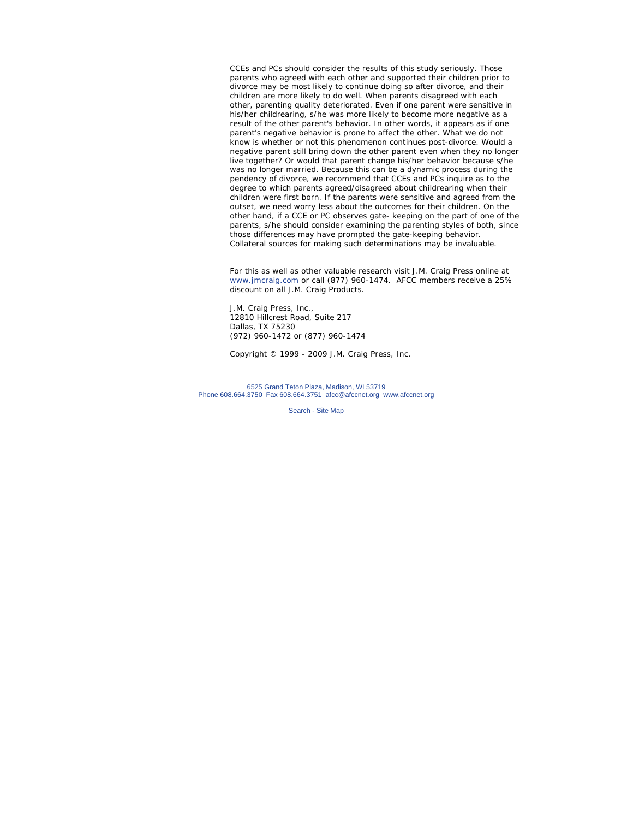CCEs and PCs should consider the results of this study seriously. Those parents who agreed with each other and supported their children prior to divorce may be most likely to continue doing so after divorce, and their children are more likely to do well. When parents disagreed with each other, parenting quality deteriorated. Even if one parent were sensitive in his/her childrearing, s/he was more likely to become more negative as a result of the other parent's behavior. In other words, it appears as if one parent's negative behavior is prone to affect the other. What we do not know is whether or not this phenomenon continues post-divorce. Would a negative parent still bring down the other parent even when they no longer live together? Or would that parent change his/her behavior because s/he was no longer married. Because this can be a dynamic process during the pendency of divorce, we recommend that CCEs and PCs inquire as to the degree to which parents agreed/disagreed about childrearing when their children were first born. If the parents were sensitive and agreed from the outset, we need worry less about the outcomes for their children. On the other hand, if a CCE or PC observes gate- keeping on the part of one of the parents, s/he should consider examining the parenting styles of both, since those differences may have prompted the gate-keeping behavior. Collateral sources for making such determinations may be invaluable.

*For this as well as other valuable research visit J.M. Craig Press online at www.jmcraig.com or call (877) 960-1474. AFCC members receive a 25% discount on all J.M. Craig Products.*

J.M. Craig Press, Inc., 12810 Hillcrest Road, Suite 217 Dallas, TX 75230 (972) 960-1472 or (877) 960-1474

*Copyright © 1999 - 2009 J.M. Craig Press, Inc.*

6525 Grand Teton Plaza, Madison, WI 53719 Phone 608.664.3750 Fax 608.664.3751 afcc@afccnet.org www.afccnet.org

Search - Site Map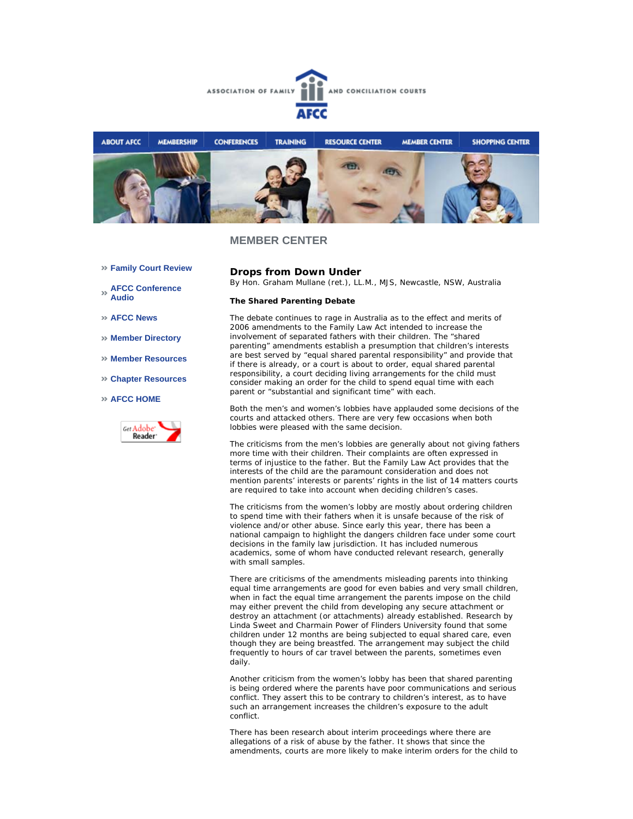



### **MEMBER CENTER**

- **Family Court Review**
- **AFCC Conference Audio**
- **AFCC News**
- **Member Directory**
- **Member Resources**
- **Chapter Resources**

#### **AFCC HOME**



**Drops from Down Under** *By Hon. Graham Mullane (ret.), LL.M., MJS, Newcastle, NSW, Australia*

#### **The Shared Parenting Debate**

The debate continues to rage in Australia as to the effect and merits of 2006 amendments to the Family Law Act intended to increase the involvement of separated fathers with their children. The "shared parenting" amendments establish a presumption that children's interests are best served by "equal shared parental responsibility" and provide that if there is already, or a court is about to order, equal shared parental responsibility, a court deciding living arrangements for the child must consider making an order for the child to spend equal time with each parent or "substantial and significant time" with each.

Both the men's and women's lobbies have applauded some decisions of the courts and attacked others. There are very few occasions when both lobbies were pleased with the same decision.

The criticisms from the men's lobbies are generally about not giving fathers more time with their children. Their complaints are often expressed in terms of injustice to the father. But the Family Law Act provides that the interests of the child are the paramount consideration and does not mention parents' interests or parents' rights in the list of 14 matters courts are required to take into account when deciding children's cases.

The criticisms from the women's lobby are mostly about ordering children to spend time with their fathers when it is unsafe because of the risk of violence and/or other abuse. Since early this year, there has been a national campaign to highlight the dangers children face under some court decisions in the family law jurisdiction. It has included numerous academics, some of whom have conducted relevant research, generally with small samples.

There are criticisms of the amendments misleading parents into thinking equal time arrangements are good for even babies and very small children, when in fact the equal time arrangement the parents impose on the child may either prevent the child from developing any secure attachment or destroy an attachment (or attachments) already established. Research by Linda Sweet and Charmain Power of Flinders University found that some children under 12 months are being subjected to equal shared care, even though they are being breastfed. The arrangement may subject the child frequently to hours of car travel between the parents, sometimes even daily.

Another criticism from the women's lobby has been that shared parenting is being ordered where the parents have poor communications and serious conflict. They assert this to be contrary to children's interest, as to have such an arrangement increases the children's exposure to the adult conflict.

There has been research about interim proceedings where there are allegations of a risk of abuse by the father. It shows that since the amendments, courts are more likely to make interim orders for the child to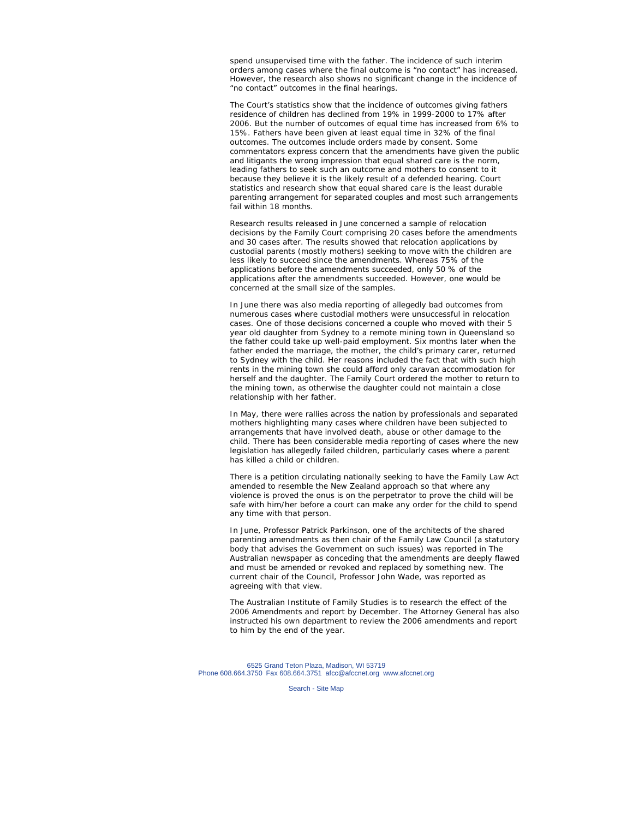spend unsupervised time with the father. The incidence of such interim orders among cases where the final outcome is "no contact" has increased. However, the research also shows no significant change in the incidence of "no contact" outcomes in the final hearings.

The Court's statistics show that the incidence of outcomes giving fathers residence of children has declined from 19% in 1999-2000 to 17% after 2006. But the number of outcomes of equal time has increased from 6% to 15%. Fathers have been given at least equal time in 32% of the final outcomes. The outcomes include orders made by consent. Some commentators express concern that the amendments have given the public and litigants the wrong impression that equal shared care is the norm, leading fathers to seek such an outcome and mothers to consent to it because they believe it is the likely result of a defended hearing. Court statistics and research show that equal shared care is the least durable parenting arrangement for separated couples and most such arrangements fail within 18 months.

Research results released in June concerned a sample of relocation decisions by the Family Court comprising 20 cases before the amendments and 30 cases after. The results showed that relocation applications by custodial parents (mostly mothers) seeking to move with the children are less likely to succeed since the amendments. Whereas 75% of the applications before the amendments succeeded, only 50 % of the applications after the amendments succeeded. However, one would be concerned at the small size of the samples.

In June there was also media reporting of allegedly bad outcomes from numerous cases where custodial mothers were unsuccessful in relocation cases. One of those decisions concerned a couple who moved with their 5 year old daughter from Sydney to a remote mining town in Queensland so the father could take up well-paid employment. Six months later when the father ended the marriage, the mother, the child's primary carer, returned to Sydney with the child. Her reasons included the fact that with such high rents in the mining town she could afford only caravan accommodation for herself and the daughter. The Family Court ordered the mother to return to the mining town, as otherwise the daughter could not maintain a close relationship with her father.

In May, there were rallies across the nation by professionals and separated mothers highlighting many cases where children have been subjected to arrangements that have involved death, abuse or other damage to the child. There has been considerable media reporting of cases where the new legislation has allegedly failed children, particularly cases where a parent has killed a child or children.

There is a petition circulating nationally seeking to have the Family Law Act amended to resemble the New Zealand approach so that where any violence is proved the onus is on the perpetrator to prove the child will be safe with him/her before a court can make any order for the child to spend any time with that person.

In June, Professor Patrick Parkinson, one of the architects of the shared parenting amendments as then chair of the Family Law Council (a statutory body that advises the Government on such issues) was reported in The Australian newspaper as conceding that the amendments are deeply flawed and must be amended or revoked and replaced by something new. The current chair of the Council, Professor John Wade, was reported as agreeing with that view.

The Australian Institute of Family Studies is to research the effect of the 2006 Amendments and report by December. The Attorney General has also instructed his own department to review the 2006 amendments and report to him by the end of the year.

6525 Grand Teton Plaza, Madison, WI 53719 Phone 608.664.3750 Fax 608.664.3751 afcc@afccnet.org www.afccnet.org

Search - Site Map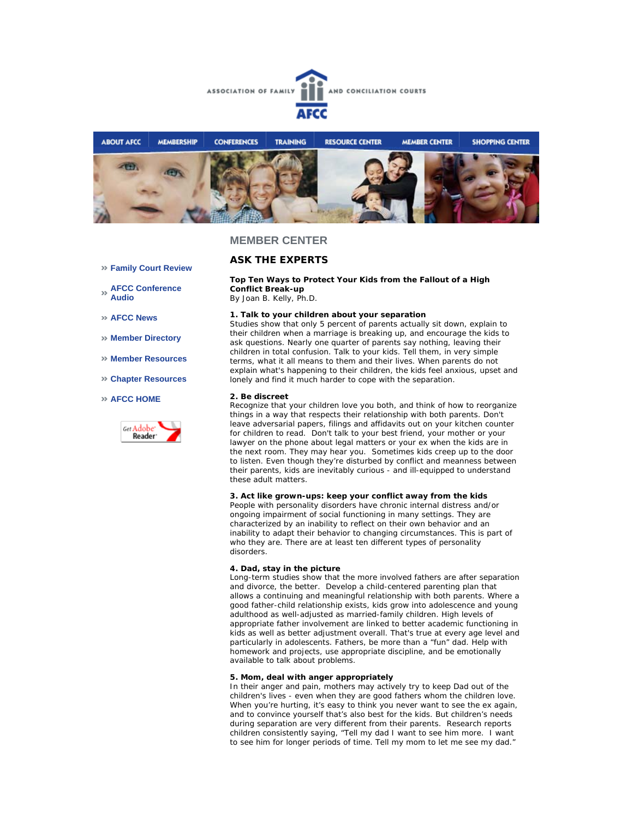



### **MEMBER CENTER**

### **Family Court Review**

**AFCC Conference Audio** 

**AFCC News** 

- **Member Directory**
- **Member Resources**
- **Chapter Resources**

### **AFCC HOME**



# **ASK THE EXPERTS**

### **Top Ten Ways to Protect Your Kids from the Fallout of a High Conflict Break-up**

*By Joan B. Kelly, Ph.D.* 

#### **1. Talk to your children about your separation**

Studies show that only 5 percent of parents actually sit down, explain to their children when a marriage is breaking up, and encourage the kids to ask questions. Nearly one quarter of parents say nothing, leaving their children in total confusion. Talk to your kids. Tell them, in very simple terms, what it all means to them and their lives. When parents do not explain what's happening to their children, the kids feel anxious, upset and lonely and find it much harder to cope with the separation.

### **2. Be discreet**

Recognize that your children love you both, and think of how to reorganize things in a way that respects their relationship with both parents. Don't leave adversarial papers, filings and affidavits out on your kitchen counter for children to read. Don't talk to your best friend, your mother or your lawyer on the phone about legal matters or your ex when the kids are in the next room. They may hear you. Sometimes kids creep up to the door to listen. Even though they're disturbed by conflict and meanness between their parents, kids are inevitably curious - and ill-equipped to understand these adult matters.

#### **3. Act like grown-ups: keep your conflict away from the kids**

People with personality disorders have chronic internal distress and/or ongoing impairment of social functioning in many settings. They are characterized by an inability to reflect on their own behavior and an inability to adapt their behavior to changing circumstances. This is part of who they are. There are at least ten different types of personality disorders.

#### **4. Dad, stay in the picture**

Long-term studies show that the more involved fathers are after separation and divorce, the better. Develop a child-centered parenting plan that allows a continuing and meaningful relationship with both parents. Where a good father-child relationship exists, kids grow into adolescence and young adulthood as well-adjusted as married-family children. High levels of appropriate father involvement are linked to better academic functioning in kids as well as better adjustment overall. That's true at every age level and particularly in adolescents. Fathers, be more than a "fun" dad. Help with homework and projects, use appropriate discipline, and be emotionally available to talk about problems.

#### **5. Mom, deal with anger appropriately**

In their anger and pain, mothers may actively try to keep Dad out of the children's lives - even when they are good fathers whom the children love. When you're hurting, it's easy to think you never want to see the ex again, and to convince yourself that's also best for the kids. But children's needs during separation are very different from their parents. Research reports children consistently saying, "Tell my dad I want to see him more. I want to see him for longer periods of time. Tell my mom to let me see my dad."